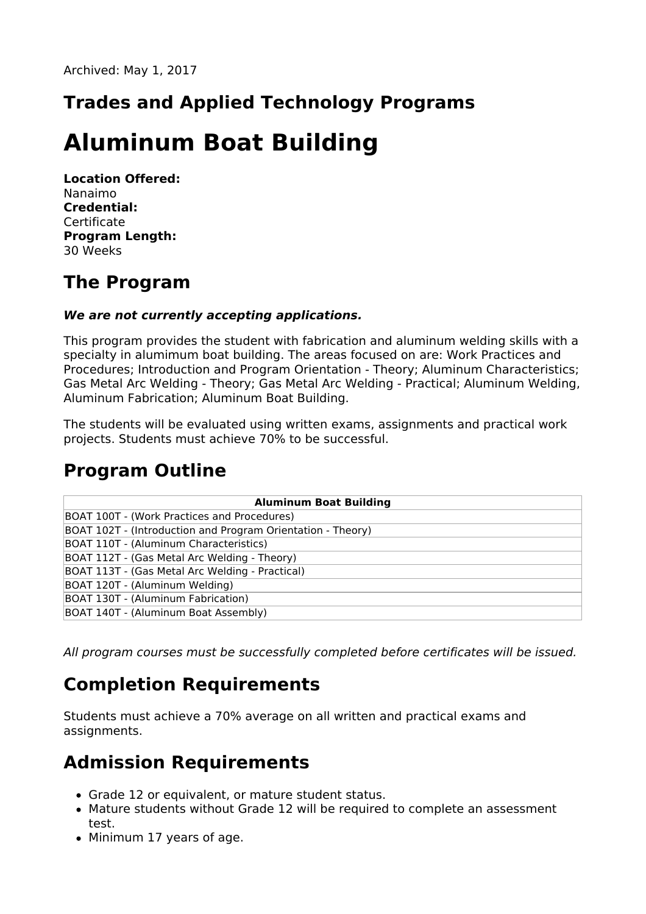## **Trades and Applied Technology Programs**

# **Aluminum Boat Building**

**Location Offered:** Nanaimo **Credential:** Certificate **Program Length:** 30 Weeks

#### **The Program**

#### **We are not currently accepting applications.**

This program provides the student with fabrication and aluminum welding skills with a specialty in alumimum boat building. The areas focused on are: Work Practices and Procedures; Introduction and Program Orientation - Theory; Aluminum Characteristics; Gas Metal Arc Welding - Theory; Gas Metal Arc Welding - Practical; Aluminum Welding, Aluminum Fabrication; Aluminum Boat Building.

The students will be evaluated using written exams, assignments and practical work projects. Students must achieve 70% to be successful.

### **Program Outline**

| <b>Aluminum Boat Building</b>                               |
|-------------------------------------------------------------|
| BOAT 100T - (Work Practices and Procedures)                 |
| BOAT 102T - (Introduction and Program Orientation - Theory) |
| BOAT 110T - (Aluminum Characteristics)                      |
| BOAT 112T - (Gas Metal Arc Welding - Theory)                |
| BOAT 113T - (Gas Metal Arc Welding - Practical)             |
| BOAT 120T - (Aluminum Welding)                              |
| BOAT 130T - (Aluminum Fabrication)                          |
| BOAT 140T - (Aluminum Boat Assembly)                        |

All program courses must be successfully completed before certificates will be issued.

### **Completion Requirements**

Students must achieve a 70% average on all written and practical exams and assignments.

### **Admission Requirements**

- Grade 12 or equivalent, or mature student status.
- Mature students without Grade 12 will be required to complete an assessment test.
- Minimum 17 years of age.